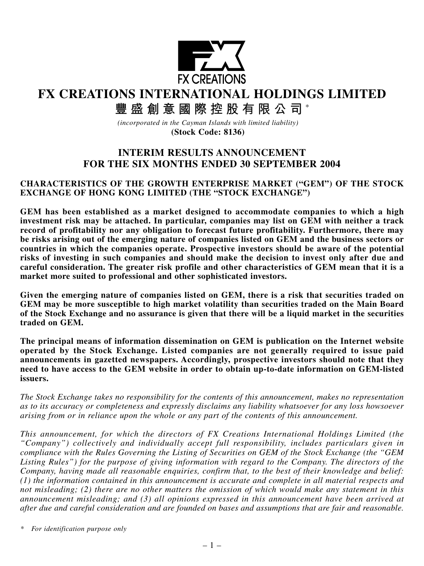

**FX CREATIONS INTERNATIONAL HOLDINGS LIMITED**

**豐盛創意國際控股有限公司** \*

*(incorporated in the Cayman Islands with limited liability)* **(Stock Code: 8136)**

# **INTERIM RESULTS ANNOUNCEMENT FOR THE SIX MONTHS ENDED 30 SEPTEMBER 2004**

#### **CHARACTERISTICS OF THE GROWTH ENTERPRISE MARKET ("GEM") OF THE STOCK EXCHANGE OF HONG KONG LIMITED (THE "STOCK EXCHANGE")**

**GEM has been established as a market designed to accommodate companies to which a high investment risk may be attached. In particular, companies may list on GEM with neither a track record of profitability nor any obligation to forecast future profitability. Furthermore, there may be risks arising out of the emerging nature of companies listed on GEM and the business sectors or countries in which the companies operate. Prospective investors should be aware of the potential risks of investing in such companies and should make the decision to invest only after due and careful consideration. The greater risk profile and other characteristics of GEM mean that it is a market more suited to professional and other sophisticated investors.**

**Given the emerging nature of companies listed on GEM, there is a risk that securities traded on GEM may be more susceptible to high market volatility than securities traded on the Main Board of the Stock Exchange and no assurance is given that there will be a liquid market in the securities traded on GEM.**

**The principal means of information dissemination on GEM is publication on the Internet website operated by the Stock Exchange. Listed companies are not generally required to issue paid announcements in gazetted newspapers. Accordingly, prospective investors should note that they need to have access to the GEM website in order to obtain up-to-date information on GEM-listed issuers.**

*The Stock Exchange takes no responsibility for the contents of this announcement, makes no representation as to its accuracy or completeness and expressly disclaims any liability whatsoever for any loss howsoever arising from or in reliance upon the whole or any part of the contents of this announcement.*

*This announcement, for which the directors of FX Creations International Holdings Limited (the "Company") collectively and individually accept full responsibility, includes particulars given in compliance with the Rules Governing the Listing of Securities on GEM of the Stock Exchange (the "GEM Listing Rules") for the purpose of giving information with regard to the Company. The directors of the Company, having made all reasonable enquiries, confirm that, to the best of their knowledge and belief: (1) the information contained in this announcement is accurate and complete in all material respects and not misleading; (2) there are no other matters the omission of which would make any statement in this announcement misleading; and (3) all opinions expressed in this announcement have been arrived at after due and careful consideration and are founded on bases and assumptions that are fair and reasonable.*

*\* For identification purpose only*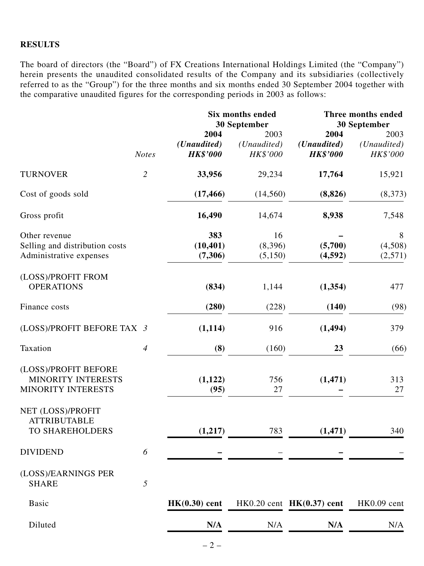#### **RESULTS**

The board of directors (the "Board") of FX Creations International Holdings Limited (the "Company") herein presents the unaudited consolidated results of the Company and its subsidiaries (collectively referred to as the "Group") for the three months and six months ended 30 September 2004 together with the comparative unaudited figures for the corresponding periods in 2003 as follows:

|                                                                            |                  |                                        | Six months ended<br>30 September | Three months ended<br>30 September     |                                 |  |
|----------------------------------------------------------------------------|------------------|----------------------------------------|----------------------------------|----------------------------------------|---------------------------------|--|
|                                                                            | <b>Notes</b>     | 2004<br>(Unaudited)<br><b>HK\$'000</b> | 2003<br>(Unaudited)<br>HK\$'000  | 2004<br>(Unaudited)<br><b>HK\$'000</b> | 2003<br>(Unaudited)<br>HK\$'000 |  |
| <b>TURNOVER</b>                                                            | $\overline{2}$   | 33,956                                 | 29,234                           | 17,764                                 | 15,921                          |  |
| Cost of goods sold                                                         |                  | (17, 466)                              | (14, 560)                        | (8, 826)                               | (8,373)                         |  |
| Gross profit                                                               |                  | 16,490                                 | 14,674                           | 8,938                                  | 7,548                           |  |
| Other revenue<br>Selling and distribution costs<br>Administrative expenses |                  | 383<br>(10, 401)<br>(7,306)            | 16<br>(8,396)<br>(5,150)         | (5,700)<br>(4,592)                     | 8<br>(4,508)<br>(2,571)         |  |
| (LOSS)/PROFIT FROM<br><b>OPERATIONS</b>                                    |                  | (834)                                  | 1,144                            | (1, 354)                               | 477                             |  |
| Finance costs                                                              |                  | (280)                                  | (228)                            | (140)                                  | (98)                            |  |
| (LOSS)/PROFIT BEFORE TAX 3                                                 |                  | (1,114)                                | 916                              | (1, 494)                               | 379                             |  |
| Taxation                                                                   | $\boldsymbol{4}$ | (8)                                    | (160)                            | 23                                     | (66)                            |  |
| (LOSS)/PROFIT BEFORE<br><b>MINORITY INTERESTS</b><br>MINORITY INTERESTS    |                  | (1, 122)<br>(95)                       | 756<br>27                        | (1, 471)                               | 313<br>27                       |  |
| NET (LOSS)/PROFIT<br><b>ATTRIBUTABLE</b><br>TO SHAREHOLDERS                |                  | (1, 217)                               | 783                              | (1, 471)                               | 340                             |  |
| <b>DIVIDEND</b>                                                            | 6                |                                        |                                  |                                        |                                 |  |
| (LOSS)/EARNINGS PER<br><b>SHARE</b>                                        | 5                |                                        |                                  |                                        |                                 |  |
| <b>Basic</b>                                                               |                  | $HK(0.30)$ cent                        |                                  | $HK0.20$ cent $HK(0.37)$ cent          | HK0.09 cent                     |  |
| Diluted                                                                    |                  | N/A                                    | N/A                              | N/A                                    | N/A                             |  |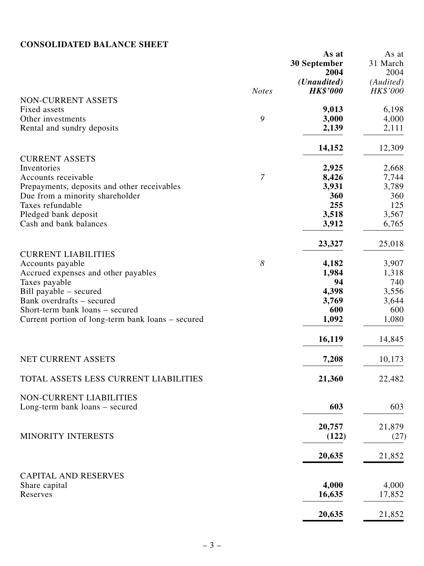# **CONSOLIDATED BALANCE SHEET**

|                                                   |                       | As at<br><b>30 September</b><br>2004    | As at<br>31 March<br>2004 |
|---------------------------------------------------|-----------------------|-----------------------------------------|---------------------------|
|                                                   | <b>Notes</b>          | ( <i>Unaudited</i> )<br><b>HK\$'000</b> | (Audited)<br>HK\$'000     |
| NON-CURRENT ASSETS                                |                       |                                         |                           |
| Fixed assets                                      |                       | 9,013                                   | 6,198                     |
| Other investments                                 | 9                     | 3,000                                   | 4,000                     |
| Rental and sundry deposits                        |                       | 2,139                                   | 2,111                     |
|                                                   |                       | 14,152                                  | 12,309                    |
| <b>CURRENT ASSETS</b><br>Inventories              |                       | 2,925                                   | 2,668                     |
| Accounts receivable                               | $\overline{7}$        | 8,426                                   | 7,744                     |
| Prepayments, deposits and other receivables       |                       | 3,931                                   | 3,789                     |
| Due from a minority shareholder                   |                       | 360                                     | 360                       |
| Taxes refundable                                  |                       | 255                                     | 125                       |
| Pledged bank deposit                              |                       | 3,518                                   | 3,567                     |
| Cash and bank balances                            |                       | 3,912                                   | 6,765                     |
|                                                   |                       | 23,327                                  | 25,018                    |
| <b>CURRENT LIABILITIES</b><br>Accounts payable    | $\boldsymbol{\delta}$ | 4,182                                   | 3,907                     |
| Accrued expenses and other payables               |                       | 1,984                                   | 1,318                     |
| Taxes payable                                     |                       | 94                                      | 740                       |
| Bill payable – secured                            |                       | 4,398                                   | 3,556                     |
| Bank overdrafts - secured                         |                       | 3,769                                   | 3,644                     |
| Short-term bank loans – secured                   |                       | 600                                     | 600                       |
| Current portion of long-term bank loans – secured |                       | 1,092                                   | 1,080                     |
|                                                   |                       | 16,119                                  | 14,845                    |
| NET CURRENT ASSETS                                |                       | 7,208                                   | 10,173                    |
| TOTAL ASSETS LESS CURRENT LIABILITIES             |                       | 21,360                                  | 22,482                    |
| NON-CURRENT LIABILITIES                           |                       |                                         |                           |
| Long-term bank loans - secured                    |                       | 603                                     | 603                       |
|                                                   |                       | 20,757                                  | 21,879                    |
| MINORITY INTERESTS                                |                       | (122)                                   | (27)                      |
|                                                   |                       | 20,635                                  | 21,852                    |
| <b>CAPITAL AND RESERVES</b>                       |                       |                                         |                           |
| Share capital                                     |                       | 4,000                                   | 4,000                     |
| Reserves                                          |                       | 16,635                                  | 17,852                    |
|                                                   |                       | 20,635                                  | 21,852                    |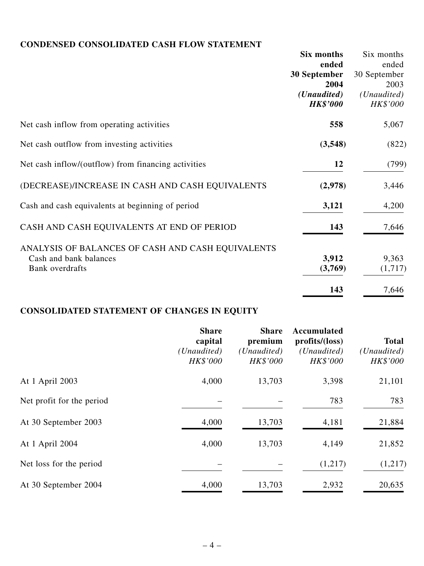## **CONDENSED CONSOLIDATED CASH FLOW STATEMENT**

|                                                     | Six months      | Six months   |
|-----------------------------------------------------|-----------------|--------------|
|                                                     | ended           | ended        |
|                                                     | 30 September    | 30 September |
|                                                     | 2004            | 2003         |
|                                                     | (Unaudited)     | (Unaudited)  |
|                                                     | <b>HK\$'000</b> | HK\$'000     |
| Net cash inflow from operating activities           | 558             | 5,067        |
| Net cash outflow from investing activities          | (3,548)         | (822)        |
| Net cash inflow/(outflow) from financing activities | 12              | (799)        |
| (DECREASE)/INCREASE IN CASH AND CASH EQUIVALENTS    | (2,978)         | 3,446        |
| Cash and cash equivalents at beginning of period    | 3,121           | 4,200        |
| CASH AND CASH EQUIVALENTS AT END OF PERIOD          | 143             | 7,646        |
| ANALYSIS OF BALANCES OF CASH AND CASH EQUIVALENTS   |                 |              |
| Cash and bank balances                              | 3,912           | 9,363        |
| Bank overdrafts                                     | (3,769)         | (1,717)      |
|                                                     | 143             | 7,646        |

# **CONSOLIDATED STATEMENT OF CHANGES IN EQUITY**

|                           | <b>Share</b><br>capital<br>(Unaudited) | <b>Share</b><br>premium<br>(Unaudited) | <b>Accumulated</b><br>profits/(loss)<br>(Unaudited) | <b>Total</b><br>( <i>Unaudited</i> ) |
|---------------------------|----------------------------------------|----------------------------------------|-----------------------------------------------------|--------------------------------------|
|                           | HK\$'000                               | HK\$'000                               | HK\$'000                                            | HK\$'000                             |
| At 1 April 2003           | 4,000                                  | 13,703                                 | 3,398                                               | 21,101                               |
| Net profit for the period |                                        |                                        | 783                                                 | 783                                  |
| At 30 September 2003      | 4,000                                  | 13,703                                 | 4,181                                               | 21,884                               |
| At 1 April 2004           | 4,000                                  | 13,703                                 | 4,149                                               | 21,852                               |
| Net loss for the period   |                                        |                                        | (1,217)                                             | (1,217)                              |
| At 30 September 2004      | 4,000                                  | 13,703                                 | 2,932                                               | 20,635                               |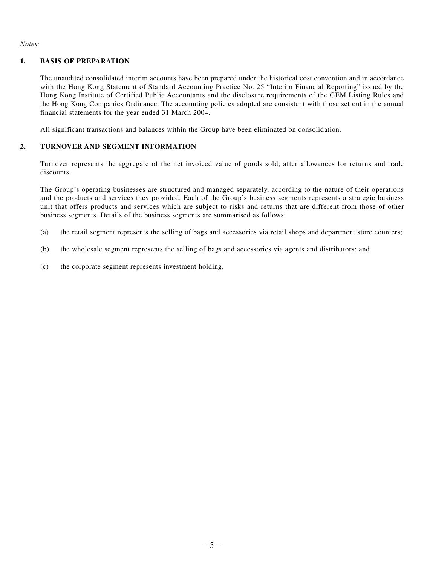#### *Notes:*

#### **1. BASIS OF PREPARATION**

The unaudited consolidated interim accounts have been prepared under the historical cost convention and in accordance with the Hong Kong Statement of Standard Accounting Practice No. 25 "Interim Financial Reporting" issued by the Hong Kong Institute of Certified Public Accountants and the disclosure requirements of the GEM Listing Rules and the Hong Kong Companies Ordinance. The accounting policies adopted are consistent with those set out in the annual financial statements for the year ended 31 March 2004.

All significant transactions and balances within the Group have been eliminated on consolidation.

#### **2. TURNOVER AND SEGMENT INFORMATION**

Turnover represents the aggregate of the net invoiced value of goods sold, after allowances for returns and trade discounts.

The Group's operating businesses are structured and managed separately, according to the nature of their operations and the products and services they provided. Each of the Group's business segments represents a strategic business unit that offers products and services which are subject to risks and returns that are different from those of other business segments. Details of the business segments are summarised as follows:

- (a) the retail segment represents the selling of bags and accessories via retail shops and department store counters;
- (b) the wholesale segment represents the selling of bags and accessories via agents and distributors; and
- (c) the corporate segment represents investment holding.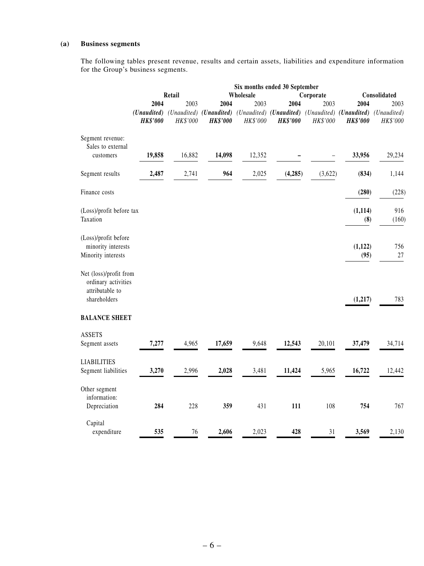#### **(a) Business segments**

The following tables present revenue, results and certain assets, liabilities and expenditure information for the Group's business segments.

|                                                                                  |                 | Six months ended 30 September |                 |           |                                                                                                 |          |                  |           |
|----------------------------------------------------------------------------------|-----------------|-------------------------------|-----------------|-----------|-------------------------------------------------------------------------------------------------|----------|------------------|-----------|
|                                                                                  |                 | Retail                        |                 | Wholesale | Consolidated                                                                                    |          |                  |           |
|                                                                                  | 2004            | 2003                          | 2004            | 2003      | 2004                                                                                            | 2003     | 2004             | 2003      |
|                                                                                  |                 |                               |                 |           | (Unaudited) (Unaudited) (Unaudited) (Unaudited) (Unaudited) (Unaudited) (Unaudited) (Unaudited) |          |                  |           |
|                                                                                  | <b>HK\$'000</b> | HK\$'000                      | <b>HK\$'000</b> | HK\$'000  | <b>HK\$'000</b>                                                                                 | HK\$'000 | <b>HK\$'000</b>  | HK\$'000  |
| Segment revenue:                                                                 |                 |                               |                 |           |                                                                                                 |          |                  |           |
| Sales to external<br>customers                                                   | 19,858          | 16,882                        | 14,098          | 12,352    |                                                                                                 |          | 33,956           | 29,234    |
|                                                                                  |                 |                               |                 |           |                                                                                                 |          |                  |           |
| Segment results                                                                  | 2,487           | 2,741                         | 964             | 2,025     | (4,285)                                                                                         | (3,622)  | (834)            | 1,144     |
| Finance costs                                                                    |                 |                               |                 |           |                                                                                                 |          | (280)            | (228)     |
| (Loss)/profit before tax                                                         |                 |                               |                 |           |                                                                                                 |          | (1, 114)         | 916       |
| Taxation                                                                         |                 |                               |                 |           |                                                                                                 |          | (8)              | (160)     |
| (Loss)/profit before                                                             |                 |                               |                 |           |                                                                                                 |          |                  |           |
| minority interests<br>Minority interests                                         |                 |                               |                 |           |                                                                                                 |          | (1, 122)<br>(95) | 756<br>27 |
| Net (loss)/profit from<br>ordinary activities<br>attributable to<br>shareholders |                 |                               |                 |           |                                                                                                 |          | (1, 217)         | 783       |
| <b>BALANCE SHEET</b>                                                             |                 |                               |                 |           |                                                                                                 |          |                  |           |
| <b>ASSETS</b>                                                                    |                 |                               |                 |           |                                                                                                 |          |                  |           |
| Segment assets                                                                   | 7,277           | 4,965                         | 17,659          | 9,648     | 12,543                                                                                          | 20,101   | 37,479           | 34,714    |
| <b>LIABILITIES</b>                                                               |                 |                               |                 |           |                                                                                                 |          |                  |           |
| Segment liabilities                                                              | 3,270           | 2,996                         | 2,028           | 3,481     | 11,424                                                                                          | 5,965    | 16,722           | 12,442    |
| Other segment<br>information:                                                    |                 |                               |                 |           |                                                                                                 |          |                  |           |
| Depreciation                                                                     | 284             | 228                           | 359             | 431       | 111                                                                                             | 108      | 754              | 767       |
| Capital                                                                          |                 |                               |                 |           |                                                                                                 |          |                  |           |
| expenditure                                                                      | 535             | 76                            | 2,606           | 2,023     | 428                                                                                             | 31       | 3,569            | 2,130     |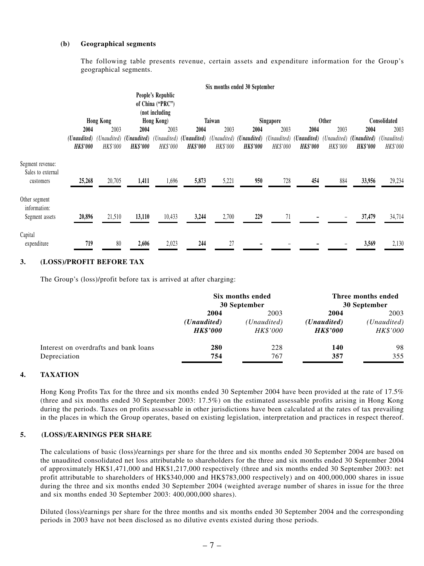#### **(b) Geographical segments**

The following table presents revenue, certain assets and expenditure information for the Group's geographical segments.

|                                       |                                |                  |                                                     |                                                         |                                                     |                         | Six months ended 30 September  |                         |                                |                         |                                |                         |
|---------------------------------------|--------------------------------|------------------|-----------------------------------------------------|---------------------------------------------------------|-----------------------------------------------------|-------------------------|--------------------------------|-------------------------|--------------------------------|-------------------------|--------------------------------|-------------------------|
|                                       |                                |                  |                                                     | People's Republic<br>of China ("PRC")<br>(not including |                                                     |                         |                                |                         |                                |                         |                                |                         |
|                                       |                                | <b>Hong Kong</b> |                                                     | Hong Kong)                                              |                                                     | Taiwan                  |                                | Singapore               |                                | <b>Other</b>            |                                | Consolidated            |
|                                       | 2004                           | 2003             | 2004                                                | 2003                                                    | 2004                                                | 2003                    | 2004                           | 2003                    | 2004                           | 2003                    | 2004                           | 2003                    |
|                                       | (Unaudited)<br><b>HK\$'000</b> | HK\$'000         | (Unaudited) ( <b>Unaudited</b> )<br><b>HK\$'000</b> | HK\$'000                                                | (Unaudited) ( <b>Unaudited</b> )<br><b>HK\$'000</b> | (Unaudited)<br>HK\$'000 | (Unaudited)<br><b>HK\$'000</b> | (Unaudited)<br>HK\$'000 | (Unaudited)<br><b>HK\$'000</b> | (Unaudited)<br>HK\$'000 | (Unaudited)<br><b>HK\$'000</b> | (Unaudited)<br>HK\$'000 |
| Segment revenue:<br>Sales to external |                                |                  |                                                     |                                                         |                                                     |                         |                                |                         |                                |                         |                                |                         |
| customers                             | 25,268                         | 20,705           | 1,411                                               | 1,696                                                   | 5,873                                               | 5,221                   | 950                            | 728                     | 454                            | 884                     | 33,956                         | 29,234                  |
| Other segment<br>information:         |                                |                  |                                                     |                                                         |                                                     |                         |                                |                         |                                |                         |                                |                         |
| Segment assets                        | 20,896                         | 21,510           | 13,110                                              | 10,433                                                  | 3,244                                               | 2,700                   | 229                            | 71                      |                                |                         | 37,479                         | 34,714                  |
| Capital<br>expenditure                | 719                            | 80               | 2,606                                               | 2,023                                                   | 244                                                 | 27                      |                                |                         |                                |                         | 3,569                          | 2,130                   |

#### **3. (LOSS)/PROFIT BEFORE TAX**

The Group's (loss)/profit before tax is arrived at after charging:

|                                       |                      | Six months ended<br>30 September | Three months ended<br>30 September |                 |  |
|---------------------------------------|----------------------|----------------------------------|------------------------------------|-----------------|--|
|                                       | 2004                 | 2003                             | 2004                               | 2003            |  |
|                                       | ( <i>Unaudited</i> ) | (Unaudited)                      | ( <i>Unaudited</i> )               | (Unaudited)     |  |
|                                       | <b>HK\$'000</b>      | <i>HK\$'000</i>                  | <b>HK\$'000</b>                    | <b>HK\$'000</b> |  |
| Interest on overdrafts and bank loans | 280                  | 228                              | 140                                | 98              |  |
| Depreciation                          | 754                  | 767                              | 357                                | 355             |  |

#### **4. TAXATION**

Hong Kong Profits Tax for the three and six months ended 30 September 2004 have been provided at the rate of 17.5% (three and six months ended 30 September 2003: 17.5%) on the estimated assessable profits arising in Hong Kong during the periods. Taxes on profits assessable in other jurisdictions have been calculated at the rates of tax prevailing in the places in which the Group operates, based on existing legislation, interpretation and practices in respect thereof.

#### **5. (LOSS)/EARNINGS PER SHARE**

The calculations of basic (loss)/earnings per share for the three and six months ended 30 September 2004 are based on the unaudited consolidated net loss attributable to shareholders for the three and six months ended 30 September 2004 of approximately HK\$1,471,000 and HK\$1,217,000 respectively (three and six months ended 30 September 2003: net profit attributable to shareholders of HK\$340,000 and HK\$783,000 respectively) and on 400,000,000 shares in issue during the three and six months ended 30 September 2004 (weighted average number of shares in issue for the three and six months ended 30 September 2003: 400,000,000 shares).

Diluted (loss)/earnings per share for the three months and six months ended 30 September 2004 and the corresponding periods in 2003 have not been disclosed as no dilutive events existed during those periods.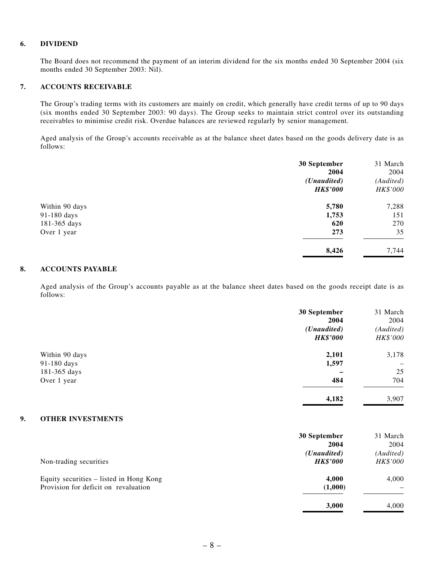#### **6. DIVIDEND**

The Board does not recommend the payment of an interim dividend for the six months ended 30 September 2004 (six months ended 30 September 2003: Nil).

#### **7. ACCOUNTS RECEIVABLE**

The Group's trading terms with its customers are mainly on credit, which generally have credit terms of up to 90 days (six months ended 30 September 2003: 90 days). The Group seeks to maintain strict control over its outstanding receivables to minimise credit risk. Overdue balances are reviewed regularly by senior management.

Aged analysis of the Group's accounts receivable as at the balance sheet dates based on the goods delivery date is as follows:

|                | 30 September<br>2004                    | 31 March<br>2004      |
|----------------|-----------------------------------------|-----------------------|
|                | ( <i>Unaudited</i> )<br><b>HK\$'000</b> | (Audited)<br>HK\$'000 |
| Within 90 days | 5,780                                   | 7,288                 |
| 91-180 days    | 1,753                                   | 151                   |
| 181-365 days   | 620                                     | 270                   |
| Over 1 year    | 273                                     | 35                    |
|                | 8,426                                   | 7,744                 |

#### **8. ACCOUNTS PAYABLE**

Aged analysis of the Group's accounts payable as at the balance sheet dates based on the goods receipt date is as follows:

|                      | 31 March                 |
|----------------------|--------------------------|
| 2004                 | 2004                     |
| ( <i>Unaudited</i> ) | (Audited)                |
| <b>HK\$'000</b>      | HK\$'000                 |
| 2,101                | 3,178                    |
|                      | $\overline{\phantom{0}}$ |
|                      | 25                       |
| 484                  | 704                      |
| 4,182                | 3,907                    |
|                      | 30 September<br>1,597    |

#### **9. OTHER INVESTMENTS**

|                                                                                 | 30 September<br>2004                    | 31 March<br>2004      |
|---------------------------------------------------------------------------------|-----------------------------------------|-----------------------|
| Non-trading securities                                                          | ( <i>Unaudited</i> )<br><b>HK\$'000</b> | (Audited)<br>HK\$'000 |
| Equity securities – listed in Hong Kong<br>Provision for deficit on revaluation | 4.000<br>(1,000)                        | 4,000                 |
|                                                                                 | 3,000                                   | 4,000                 |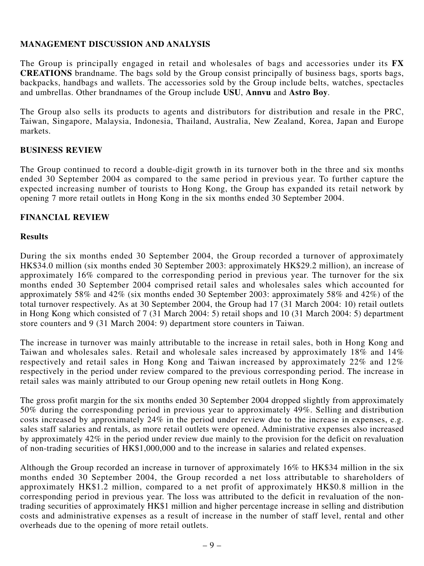### **MANAGEMENT DISCUSSION AND ANALYSIS**

The Group is principally engaged in retail and wholesales of bags and accessories under its **FX CREATIONS** brandname. The bags sold by the Group consist principally of business bags, sports bags, backpacks, handbags and wallets. The accessories sold by the Group include belts, watches, spectacles and umbrellas. Other brandnames of the Group include **USU**, **Annvu** and **Astro Boy**.

The Group also sells its products to agents and distributors for distribution and resale in the PRC, Taiwan, Singapore, Malaysia, Indonesia, Thailand, Australia, New Zealand, Korea, Japan and Europe markets.

### **BUSINESS REVIEW**

The Group continued to record a double-digit growth in its turnover both in the three and six months ended 30 September 2004 as compared to the same period in previous year. To further capture the expected increasing number of tourists to Hong Kong, the Group has expanded its retail network by opening 7 more retail outlets in Hong Kong in the six months ended 30 September 2004.

#### **FINANCIAL REVIEW**

#### **Results**

During the six months ended 30 September 2004, the Group recorded a turnover of approximately HK\$34.0 million (six months ended 30 September 2003: approximately HK\$29.2 million), an increase of approximately 16% compared to the corresponding period in previous year. The turnover for the six months ended 30 September 2004 comprised retail sales and wholesales sales which accounted for approximately 58% and 42% (six months ended 30 September 2003: approximately 58% and 42%) of the total turnover respectively. As at 30 September 2004, the Group had 17 (31 March 2004: 10) retail outlets in Hong Kong which consisted of 7 (31 March 2004: 5) retail shops and 10 (31 March 2004: 5) department store counters and 9 (31 March 2004: 9) department store counters in Taiwan.

The increase in turnover was mainly attributable to the increase in retail sales, both in Hong Kong and Taiwan and wholesales sales. Retail and wholesale sales increased by approximately 18% and 14% respectively and retail sales in Hong Kong and Taiwan increased by approximately 22% and 12% respectively in the period under review compared to the previous corresponding period. The increase in retail sales was mainly attributed to our Group opening new retail outlets in Hong Kong.

The gross profit margin for the six months ended 30 September 2004 dropped slightly from approximately 50% during the corresponding period in previous year to approximately 49%. Selling and distribution costs increased by approximately 24% in the period under review due to the increase in expenses, e.g. sales staff salaries and rentals, as more retail outlets were opened. Administrative expenses also increased by approximately 42% in the period under review due mainly to the provision for the deficit on revaluation of non-trading securities of HK\$1,000,000 and to the increase in salaries and related expenses.

Although the Group recorded an increase in turnover of approximately 16% to HK\$34 million in the six months ended 30 September 2004, the Group recorded a net loss attributable to shareholders of approximately HK\$1.2 million, compared to a net profit of approximately HK\$0.8 million in the corresponding period in previous year. The loss was attributed to the deficit in revaluation of the nontrading securities of approximately HK\$1 million and higher percentage increase in selling and distribution costs and administrative expenses as a result of increase in the number of staff level, rental and other overheads due to the opening of more retail outlets.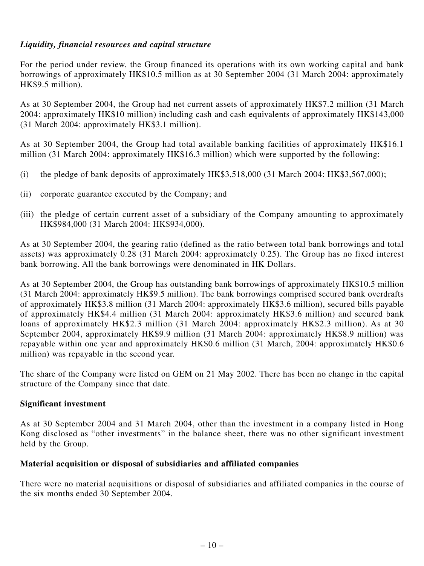### *Liquidity, financial resources and capital structure*

For the period under review, the Group financed its operations with its own working capital and bank borrowings of approximately HK\$10.5 million as at 30 September 2004 (31 March 2004: approximately HK\$9.5 million).

As at 30 September 2004, the Group had net current assets of approximately HK\$7.2 million (31 March 2004: approximately HK\$10 million) including cash and cash equivalents of approximately HK\$143,000 (31 March 2004: approximately HK\$3.1 million).

As at 30 September 2004, the Group had total available banking facilities of approximately HK\$16.1 million (31 March 2004: approximately HK\$16.3 million) which were supported by the following:

- (i) the pledge of bank deposits of approximately  $HK$3,518,000$  (31 March 2004:  $HK$3,567,000$ );
- (ii) corporate guarantee executed by the Company; and
- (iii) the pledge of certain current asset of a subsidiary of the Company amounting to approximately HK\$984,000 (31 March 2004: HK\$934,000).

As at 30 September 2004, the gearing ratio (defined as the ratio between total bank borrowings and total assets) was approximately 0.28 (31 March 2004: approximately 0.25). The Group has no fixed interest bank borrowing. All the bank borrowings were denominated in HK Dollars.

As at 30 September 2004, the Group has outstanding bank borrowings of approximately HK\$10.5 million (31 March 2004: approximately HK\$9.5 million). The bank borrowings comprised secured bank overdrafts of approximately HK\$3.8 million (31 March 2004: approximately HK\$3.6 million), secured bills payable of approximately HK\$4.4 million (31 March 2004: approximately HK\$3.6 million) and secured bank loans of approximately HK\$2.3 million (31 March 2004: approximately HK\$2.3 million). As at 30 September 2004, approximately HK\$9.9 million (31 March 2004: approximately HK\$8.9 million) was repayable within one year and approximately HK\$0.6 million (31 March, 2004: approximately HK\$0.6 million) was repayable in the second year.

The share of the Company were listed on GEM on 21 May 2002. There has been no change in the capital structure of the Company since that date.

#### **Significant investment**

As at 30 September 2004 and 31 March 2004, other than the investment in a company listed in Hong Kong disclosed as "other investments" in the balance sheet, there was no other significant investment held by the Group.

### **Material acquisition or disposal of subsidiaries and affiliated companies**

There were no material acquisitions or disposal of subsidiaries and affiliated companies in the course of the six months ended 30 September 2004.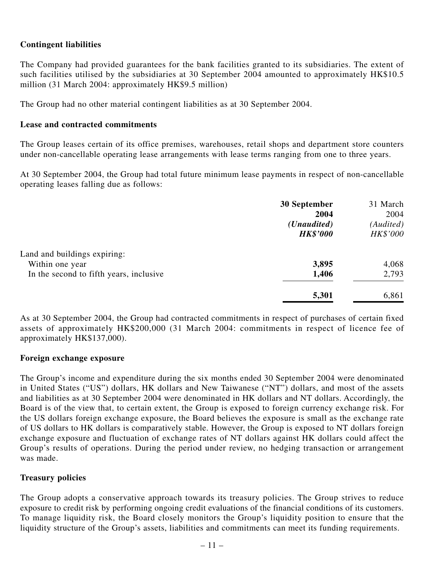### **Contingent liabilities**

The Company had provided guarantees for the bank facilities granted to its subsidiaries. The extent of such facilities utilised by the subsidiaries at 30 September 2004 amounted to approximately HK\$10.5 million (31 March 2004: approximately HK\$9.5 million)

The Group had no other material contingent liabilities as at 30 September 2004.

#### **Lease and contracted commitments**

The Group leases certain of its office premises, warehouses, retail shops and department store counters under non-cancellable operating lease arrangements with lease terms ranging from one to three years.

At 30 September 2004, the Group had total future minimum lease payments in respect of non-cancellable operating leases falling due as follows:

|                                                 | 30 September<br>2004<br>( <i>Unaudited</i> )<br><b>HK\$'000</b> | 31 March<br>2004<br>(Audited)<br>HK\$'000 |
|-------------------------------------------------|-----------------------------------------------------------------|-------------------------------------------|
| Land and buildings expiring:<br>Within one year | 3,895                                                           | 4,068                                     |
| In the second to fifth years, inclusive         | 1,406                                                           | 2,793                                     |
|                                                 | 5,301                                                           | 6,861                                     |

As at 30 September 2004, the Group had contracted commitments in respect of purchases of certain fixed assets of approximately HK\$200,000 (31 March 2004: commitments in respect of licence fee of approximately HK\$137,000).

#### **Foreign exchange exposure**

The Group's income and expenditure during the six months ended 30 September 2004 were denominated in United States ("US") dollars, HK dollars and New Taiwanese ("NT") dollars, and most of the assets and liabilities as at 30 September 2004 were denominated in HK dollars and NT dollars. Accordingly, the Board is of the view that, to certain extent, the Group is exposed to foreign currency exchange risk. For the US dollars foreign exchange exposure, the Board believes the exposure is small as the exchange rate of US dollars to HK dollars is comparatively stable. However, the Group is exposed to NT dollars foreign exchange exposure and fluctuation of exchange rates of NT dollars against HK dollars could affect the Group's results of operations. During the period under review, no hedging transaction or arrangement was made.

### **Treasury policies**

The Group adopts a conservative approach towards its treasury policies. The Group strives to reduce exposure to credit risk by performing ongoing credit evaluations of the financial conditions of its customers. To manage liquidity risk, the Board closely monitors the Group's liquidity position to ensure that the liquidity structure of the Group's assets, liabilities and commitments can meet its funding requirements.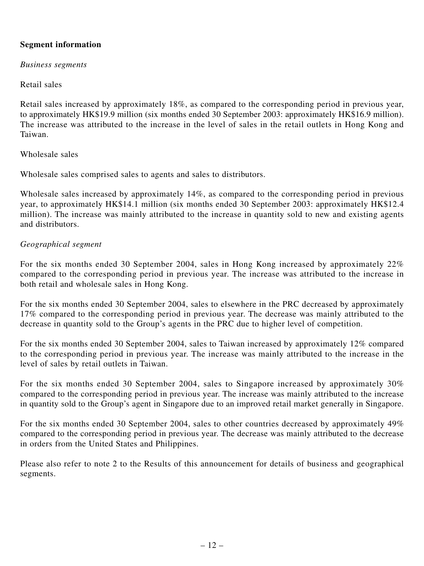### **Segment information**

*Business segments*

### Retail sales

Retail sales increased by approximately 18%, as compared to the corresponding period in previous year, to approximately HK\$19.9 million (six months ended 30 September 2003: approximately HK\$16.9 million). The increase was attributed to the increase in the level of sales in the retail outlets in Hong Kong and Taiwan.

#### Wholesale sales

Wholesale sales comprised sales to agents and sales to distributors.

Wholesale sales increased by approximately 14%, as compared to the corresponding period in previous year, to approximately HK\$14.1 million (six months ended 30 September 2003: approximately HK\$12.4 million). The increase was mainly attributed to the increase in quantity sold to new and existing agents and distributors.

### *Geographical segment*

For the six months ended 30 September 2004, sales in Hong Kong increased by approximately 22% compared to the corresponding period in previous year. The increase was attributed to the increase in both retail and wholesale sales in Hong Kong.

For the six months ended 30 September 2004, sales to elsewhere in the PRC decreased by approximately 17% compared to the corresponding period in previous year. The decrease was mainly attributed to the decrease in quantity sold to the Group's agents in the PRC due to higher level of competition.

For the six months ended 30 September 2004, sales to Taiwan increased by approximately 12% compared to the corresponding period in previous year. The increase was mainly attributed to the increase in the level of sales by retail outlets in Taiwan.

For the six months ended 30 September 2004, sales to Singapore increased by approximately 30% compared to the corresponding period in previous year. The increase was mainly attributed to the increase in quantity sold to the Group's agent in Singapore due to an improved retail market generally in Singapore.

For the six months ended 30 September 2004, sales to other countries decreased by approximately 49% compared to the corresponding period in previous year. The decrease was mainly attributed to the decrease in orders from the United States and Philippines.

Please also refer to note 2 to the Results of this announcement for details of business and geographical segments.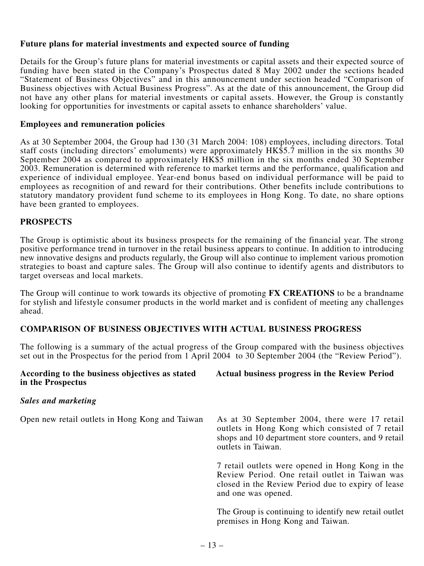#### **Future plans for material investments and expected source of funding**

Details for the Group's future plans for material investments or capital assets and their expected source of funding have been stated in the Company's Prospectus dated 8 May 2002 under the sections headed "Statement of Business Objectives" and in this announcement under section headed "Comparison of Business objectives with Actual Business Progress". As at the date of this announcement, the Group did not have any other plans for material investments or capital assets. However, the Group is constantly looking for opportunities for investments or capital assets to enhance shareholders' value.

#### **Employees and remuneration policies**

As at 30 September 2004, the Group had 130 (31 March 2004: 108) employees, including directors. Total staff costs (including directors' emoluments) were approximately HK\$5.7 million in the six months 30 September 2004 as compared to approximately HK\$5 million in the six months ended 30 September 2003. Remuneration is determined with reference to market terms and the performance, qualification and experience of individual employee. Year-end bonus based on individual performance will be paid to employees as recognition of and reward for their contributions. Other benefits include contributions to statutory mandatory provident fund scheme to its employees in Hong Kong. To date, no share options have been granted to employees.

### **PROSPECTS**

The Group is optimistic about its business prospects for the remaining of the financial year. The strong positive performance trend in turnover in the retail business appears to continue. In addition to introducing new innovative designs and products regularly, the Group will also continue to implement various promotion strategies to boast and capture sales. The Group will also continue to identify agents and distributors to target overseas and local markets.

The Group will continue to work towards its objective of promoting **FX CREATIONS** to be a brandname for stylish and lifestyle consumer products in the world market and is confident of meeting any challenges ahead.

### **COMPARISON OF BUSINESS OBJECTIVES WITH ACTUAL BUSINESS PROGRESS**

The following is a summary of the actual progress of the Group compared with the business objectives set out in the Prospectus for the period from 1 April 2004 to 30 September 2004 (the "Review Period").

| According to the business objectives as stated<br>in the Prospectus | <b>Actual business progress in the Review Period</b>                                                                                                                            |
|---------------------------------------------------------------------|---------------------------------------------------------------------------------------------------------------------------------------------------------------------------------|
| Sales and marketing                                                 |                                                                                                                                                                                 |
| Open new retail outlets in Hong Kong and Taiwan                     | As at 30 September 2004, there were 17 retail<br>outlets in Hong Kong which consisted of 7 retail<br>shops and 10 department store counters, and 9 retail<br>outlets in Taiwan. |
|                                                                     | 7 retail outlets were opened in Hong Kong in the<br>Review Period. One retail outlet in Taiwan was<br>closed in the Review Period due to expiry of lease<br>and one was opened. |
|                                                                     | The Group is continuing to identify new retail outlet<br>premises in Hong Kong and Taiwan.                                                                                      |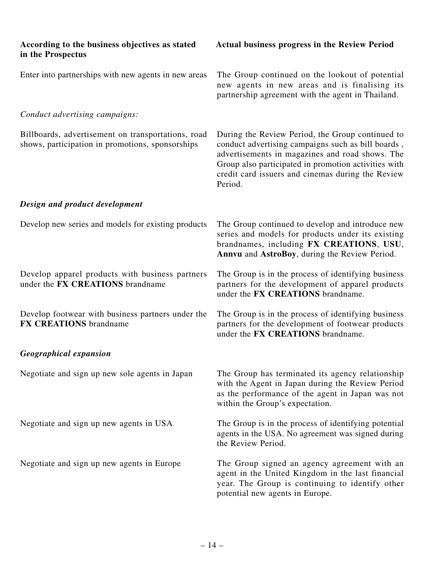| According to the business objectives as stated<br>in the Prospectus                                    | <b>Actual business progress in the Review Period</b>                                                                                                                                                                                                                              |
|--------------------------------------------------------------------------------------------------------|-----------------------------------------------------------------------------------------------------------------------------------------------------------------------------------------------------------------------------------------------------------------------------------|
| Enter into partnerships with new agents in new areas                                                   | The Group continued on the lookout of potential<br>new agents in new areas and is finalising its<br>partnership agreement with the agent in Thailand.                                                                                                                             |
| Conduct advertising campaigns:                                                                         |                                                                                                                                                                                                                                                                                   |
| Billboards, advertisement on transportations, road<br>shows, participation in promotions, sponsorships | During the Review Period, the Group continued to<br>conduct advertising campaigns such as bill boards,<br>advertisements in magazines and road shows. The<br>Group also participated in promotion activities with<br>credit card issuers and cinemas during the Review<br>Period. |
| Design and product development                                                                         |                                                                                                                                                                                                                                                                                   |
| Develop new series and models for existing products                                                    | The Group continued to develop and introduce new<br>series and models for products under its existing<br>brandnames, including FX CREATIONS, USU,<br>Annvu and AstroBoy, during the Review Period.                                                                                |
| Develop apparel products with business partners<br>under the FX CREATIONS brandname                    | The Group is in the process of identifying business<br>partners for the development of apparel products<br>under the FX CREATIONS brandname.                                                                                                                                      |
| Develop footwear with business partners under the<br><b>FX CREATIONS</b> brandname                     | The Group is in the process of identifying business<br>partners for the development of footwear products<br>under the FX CREATIONS brandname.                                                                                                                                     |
| <b>Geographical expansion</b>                                                                          |                                                                                                                                                                                                                                                                                   |
| Negotiate and sign up new sole agents in Japan                                                         | The Group has terminated its agency relationship<br>with the Agent in Japan during the Review Period<br>as the performance of the agent in Japan was not<br>within the Group's expectation.                                                                                       |
| Negotiate and sign up new agents in USA                                                                | The Group is in the process of identifying potential<br>agents in the USA. No agreement was signed during<br>the Review Period.                                                                                                                                                   |
| Negotiate and sign up new agents in Europe                                                             | The Group signed an agency agreement with an<br>agent in the United Kingdom in the last financial<br>year. The Group is continuing to identify other<br>potential new agents in Europe.                                                                                           |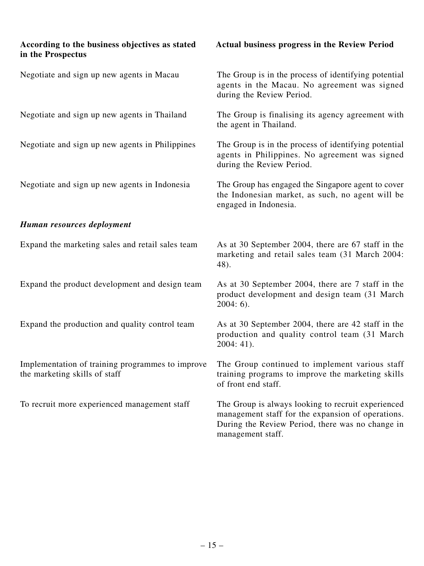| According to the business objectives as stated<br>in the Prospectus               | Actual business progress in the Review Period                                                                                                                                    |
|-----------------------------------------------------------------------------------|----------------------------------------------------------------------------------------------------------------------------------------------------------------------------------|
| Negotiate and sign up new agents in Macau                                         | The Group is in the process of identifying potential<br>agents in the Macau. No agreement was signed<br>during the Review Period.                                                |
| Negotiate and sign up new agents in Thailand                                      | The Group is finalising its agency agreement with<br>the agent in Thailand.                                                                                                      |
| Negotiate and sign up new agents in Philippines                                   | The Group is in the process of identifying potential<br>agents in Philippines. No agreement was signed<br>during the Review Period.                                              |
| Negotiate and sign up new agents in Indonesia                                     | The Group has engaged the Singapore agent to cover<br>the Indonesian market, as such, no agent will be<br>engaged in Indonesia.                                                  |
| Human resources deployment                                                        |                                                                                                                                                                                  |
| Expand the marketing sales and retail sales team                                  | As at 30 September 2004, there are 67 staff in the<br>marketing and retail sales team (31 March 2004:<br>48).                                                                    |
| Expand the product development and design team                                    | As at 30 September 2004, there are 7 staff in the<br>product development and design team (31 March)<br>$2004:6$ .                                                                |
| Expand the production and quality control team                                    | As at 30 September 2004, there are 42 staff in the<br>production and quality control team (31 March)<br>$2004:41$ ).                                                             |
| Implementation of training programmes to improve<br>the marketing skills of staff | The Group continued to implement various staff<br>training programs to improve the marketing skills<br>of front end staff.                                                       |
| To recruit more experienced management staff                                      | The Group is always looking to recruit experienced<br>management staff for the expansion of operations.<br>During the Review Period, there was no change in<br>management staff. |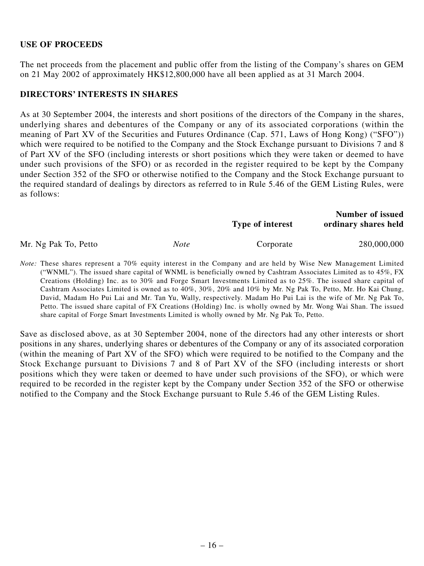#### **USE OF PROCEEDS**

The net proceeds from the placement and public offer from the listing of the Company's shares on GEM on 21 May 2002 of approximately HK\$12,800,000 have all been applied as at 31 March 2004.

#### **DIRECTORS' INTERESTS IN SHARES**

As at 30 September 2004, the interests and short positions of the directors of the Company in the shares, underlying shares and debentures of the Company or any of its associated corporations (within the meaning of Part XV of the Securities and Futures Ordinance (Cap. 571, Laws of Hong Kong) ("SFO")) which were required to be notified to the Company and the Stock Exchange pursuant to Divisions 7 and 8 of Part XV of the SFO (including interests or short positions which they were taken or deemed to have under such provisions of the SFO) or as recorded in the register required to be kept by the Company under Section 352 of the SFO or otherwise notified to the Company and the Stock Exchange pursuant to the required standard of dealings by directors as referred to in Rule 5.46 of the GEM Listing Rules, were as follows:

|                      |      | Type of interest | <b>Number of issued</b><br>ordinary shares held |
|----------------------|------|------------------|-------------------------------------------------|
| Mr. Ng Pak To, Petto | Note | Corporate        | 280,000,000                                     |

*Note:* These shares represent a 70% equity interest in the Company and are held by Wise New Management Limited ("WNML"). The issued share capital of WNML is beneficially owned by Cashtram Associates Limited as to 45%, FX Creations (Holding) Inc. as to 30% and Forge Smart Investments Limited as to 25%. The issued share capital of Cashtram Associates Limited is owned as to 40%, 30%, 20% and 10% by Mr. Ng Pak To, Petto, Mr. Ho Kai Chung, David, Madam Ho Pui Lai and Mr. Tan Yu, Wally, respectively. Madam Ho Pui Lai is the wife of Mr. Ng Pak To, Petto. The issued share capital of FX Creations (Holding) Inc. is wholly owned by Mr. Wong Wai Shan. The issued share capital of Forge Smart Investments Limited is wholly owned by Mr. Ng Pak To, Petto.

Save as disclosed above, as at 30 September 2004, none of the directors had any other interests or short positions in any shares, underlying shares or debentures of the Company or any of its associated corporation (within the meaning of Part XV of the SFO) which were required to be notified to the Company and the Stock Exchange pursuant to Divisions 7 and 8 of Part XV of the SFO (including interests or short positions which they were taken or deemed to have under such provisions of the SFO), or which were required to be recorded in the register kept by the Company under Section 352 of the SFO or otherwise notified to the Company and the Stock Exchange pursuant to Rule 5.46 of the GEM Listing Rules.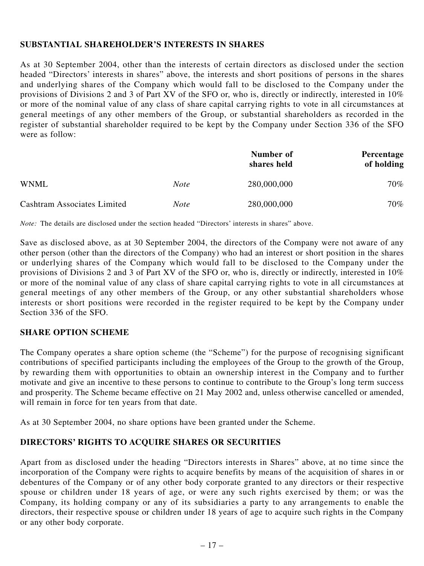### **SUBSTANTIAL SHAREHOLDER'S INTERESTS IN SHARES**

As at 30 September 2004, other than the interests of certain directors as disclosed under the section headed "Directors' interests in shares" above, the interests and short positions of persons in the shares and underlying shares of the Company which would fall to be disclosed to the Company under the provisions of Divisions 2 and 3 of Part XV of the SFO or, who is, directly or indirectly, interested in 10% or more of the nominal value of any class of share capital carrying rights to vote in all circumstances at general meetings of any other members of the Group, or substantial shareholders as recorded in the register of substantial shareholder required to be kept by the Company under Section 336 of the SFO were as follow:

|                             |             | Number of<br>shares held | Percentage<br>of holding |
|-----------------------------|-------------|--------------------------|--------------------------|
| WNML                        | <b>Note</b> | 280,000,000              | 70%                      |
| Cashtram Associates Limited | <i>Note</i> | 280,000,000              | 70%                      |

*Note:* The details are disclosed under the section headed "Directors' interests in shares" above.

Save as disclosed above, as at 30 September 2004, the directors of the Company were not aware of any other person (other than the directors of the Company) who had an interest or short position in the shares or underlying shares of the Company which would fall to be disclosed to the Company under the provisions of Divisions 2 and 3 of Part XV of the SFO or, who is, directly or indirectly, interested in 10% or more of the nominal value of any class of share capital carrying rights to vote in all circumstances at general meetings of any other members of the Group, or any other substantial shareholders whose interests or short positions were recorded in the register required to be kept by the Company under Section 336 of the SFO.

### **SHARE OPTION SCHEME**

The Company operates a share option scheme (the "Scheme") for the purpose of recognising significant contributions of specified participants including the employees of the Group to the growth of the Group, by rewarding them with opportunities to obtain an ownership interest in the Company and to further motivate and give an incentive to these persons to continue to contribute to the Group's long term success and prosperity. The Scheme became effective on 21 May 2002 and, unless otherwise cancelled or amended, will remain in force for ten years from that date.

As at 30 September 2004, no share options have been granted under the Scheme.

# **DIRECTORS' RIGHTS TO ACQUIRE SHARES OR SECURITIES**

Apart from as disclosed under the heading "Directors interests in Shares" above, at no time since the incorporation of the Company were rights to acquire benefits by means of the acquisition of shares in or debentures of the Company or of any other body corporate granted to any directors or their respective spouse or children under 18 years of age, or were any such rights exercised by them; or was the Company, its holding company or any of its subsidiaries a party to any arrangements to enable the directors, their respective spouse or children under 18 years of age to acquire such rights in the Company or any other body corporate.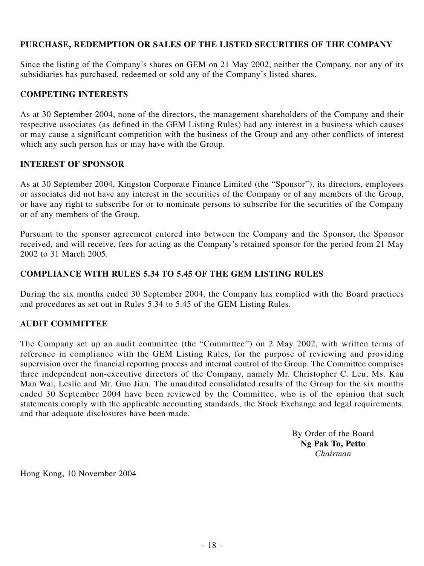### **PURCHASE, REDEMPTION OR SALES OF THE LISTED SECURITIES OF THE COMPANY**

Since the listing of the Company's shares on GEM on 21 May 2002, neither the Company, nor any of its subsidiaries has purchased, redeemed or sold any of the Company's listed shares.

#### **COMPETING INTERESTS**

As at 30 September 2004, none of the directors, the management shareholders of the Company and their respective associates (as defined in the GEM Listing Rules) had any interest in a business which causes or may cause a significant competition with the business of the Group and any other conflicts of interest which any such person has or may have with the Group.

#### **INTEREST OF SPONSOR**

As at 30 September 2004, Kingston Corporate Finance Limited (the "Sponsor"), its directors, employees or associates did not have any interest in the securities of the Company or of any members of the Group, or have any right to subscribe for or to nominate persons to subscribe for the securities of the Company or of any members of the Group.

Pursuant to the sponsor agreement entered into between the Company and the Sponsor, the Sponsor received, and will receive, fees for acting as the Company's retained sponsor for the period from 21 May 2002 to 31 March 2005.

#### **COMPLIANCE WITH RULES 5.34 TO 5.45 OF THE GEM LISTING RULES**

During the six months ended 30 September 2004, the Company has complied with the Board practices and procedures as set out in Rules 5.34 to 5.45 of the GEM Listing Rules.

### **AUDIT COMMITTEE**

The Company set up an audit committee (the "Committee") on 2 May 2002, with written terms of reference in compliance with the GEM Listing Rules, for the purpose of reviewing and providing supervision over the financial reporting process and internal control of the Group. The Committee comprises three independent non-executive directors of the Company, namely Mr. Christopher C. Leu, Ms. Kau Man Wai, Leslie and Mr. Guo Jian. The unaudited consolidated results of the Group for the six months ended 30 September 2004 have been reviewed by the Committee, who is of the opinion that such statements comply with the applicable accounting standards, the Stock Exchange and legal requirements, and that adequate disclosures have been made.

> By Order of the Board **Ng Pak To, Petto** *Chairman*

Hong Kong, 10 November 2004